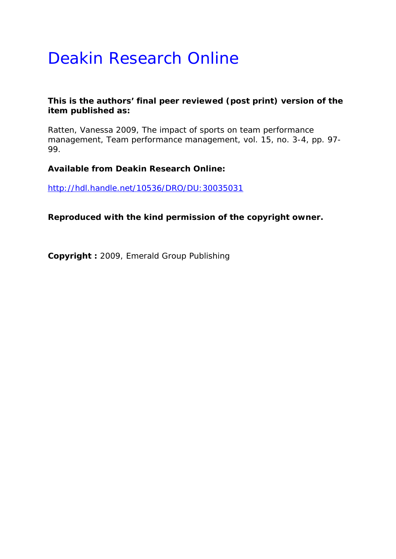# Deakin Research Online

# **This is the authors' final peer reviewed (post print) version of the item published as:**

Ratten, Vanessa 2009, The impact of sports on team performance management*, Team performance management*, vol. 15, no. 3-4, pp. 97- 99.

**Available from Deakin Research Online:** 

http://hdl.handle.net/10536/DRO/DU:30035031

**Reproduced with the kind permission of the copyright owner.** 

**Copyright :** 2009, Emerald Group Publishing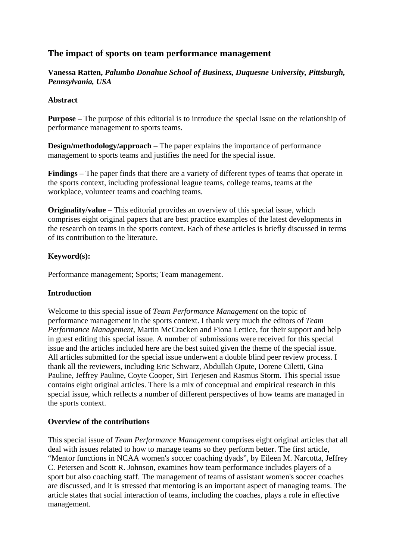# **The impact of sports on team performance management**

**Vanessa Ratten,** *Palumbo Donahue School of Business, Duquesne University, Pittsburgh, Pennsylvania, USA*

# **Abstract**

**Purpose** – The purpose of this editorial is to introduce the special issue on the relationship of performance management to sports teams.

**Design/methodology/approach** – The paper explains the importance of performance management to sports teams and justifies the need for the special issue.

**Findings** – The paper finds that there are a variety of different types of teams that operate in the sports context, including professional league teams, college teams, teams at the workplace, volunteer teams and coaching teams.

**Originality/value** – This editorial provides an overview of this special issue, which comprises eight original papers that are best practice examples of the latest developments in the research on teams in the sports context. Each of these articles is briefly discussed in terms of its contribution to the literature.

# **Keyword(s):**

Performance management; Sports; Team management.

## **Introduction**

Welcome to this special issue of *Team Performance Management* on the topic of performance management in the sports context. I thank very much the editors of *Team Performance Management*, Martin McCracken and Fiona Lettice, for their support and help in guest editing this special issue. A number of submissions were received for this special issue and the articles included here are the best suited given the theme of the special issue. All articles submitted for the special issue underwent a double blind peer review process. I thank all the reviewers, including Eric Schwarz, Abdullah Opute, Dorene Ciletti, Gina Pauline, Jeffrey Pauline, Coyte Cooper, Siri Terjesen and Rasmus Storm. This special issue contains eight original articles. There is a mix of conceptual and empirical research in this special issue, which reflects a number of different perspectives of how teams are managed in the sports context.

## **Overview of the contributions**

This special issue of *Team Performance Management* comprises eight original articles that all deal with issues related to how to manage teams so they perform better. The first article, "Mentor functions in NCAA women's soccer coaching dyads", by Eileen M. Narcotta, Jeffrey C. Petersen and Scott R. Johnson, examines how team performance includes players of a sport but also coaching staff. The management of teams of assistant women's soccer coaches are discussed, and it is stressed that mentoring is an important aspect of managing teams. The article states that social interaction of teams, including the coaches, plays a role in effective management.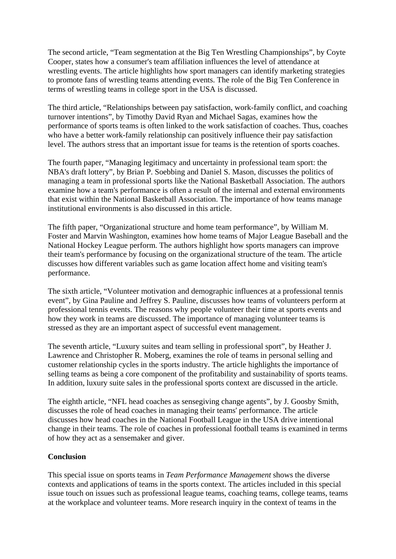The second article, "Team segmentation at the Big Ten Wrestling Championships", by Coyte Cooper, states how a consumer's team affiliation influences the level of attendance at wrestling events. The article highlights how sport managers can identify marketing strategies to promote fans of wrestling teams attending events. The role of the Big Ten Conference in terms of wrestling teams in college sport in the USA is discussed.

The third article, "Relationships between pay satisfaction, work-family conflict, and coaching turnover intentions", by Timothy David Ryan and Michael Sagas, examines how the performance of sports teams is often linked to the work satisfaction of coaches. Thus, coaches who have a better work-family relationship can positively influence their pay satisfaction level. The authors stress that an important issue for teams is the retention of sports coaches.

The fourth paper, "Managing legitimacy and uncertainty in professional team sport: the NBA's draft lottery", by Brian P. Soebbing and Daniel S. Mason, discusses the politics of managing a team in professional sports like the National Basketball Association. The authors examine how a team's performance is often a result of the internal and external environments that exist within the National Basketball Association. The importance of how teams manage institutional environments is also discussed in this article.

The fifth paper, "Organizational structure and home team performance", by William M. Foster and Marvin Washington, examines how home teams of Major League Baseball and the National Hockey League perform. The authors highlight how sports managers can improve their team's performance by focusing on the organizational structure of the team. The article discusses how different variables such as game location affect home and visiting team's performance.

The sixth article, "Volunteer motivation and demographic influences at a professional tennis event", by Gina Pauline and Jeffrey S. Pauline, discusses how teams of volunteers perform at professional tennis events. The reasons why people volunteer their time at sports events and how they work in teams are discussed. The importance of managing volunteer teams is stressed as they are an important aspect of successful event management.

The seventh article, "Luxury suites and team selling in professional sport", by Heather J. Lawrence and Christopher R. Moberg, examines the role of teams in personal selling and customer relationship cycles in the sports industry. The article highlights the importance of selling teams as being a core component of the profitability and sustainability of sports teams. In addition, luxury suite sales in the professional sports context are discussed in the article.

The eighth article, "NFL head coaches as sensegiving change agents", by J. Goosby Smith, discusses the role of head coaches in managing their teams' performance. The article discusses how head coaches in the National Football League in the USA drive intentional change in their teams. The role of coaches in professional football teams is examined in terms of how they act as a sensemaker and giver.

## **Conclusion**

This special issue on sports teams in *Team Performance Management* shows the diverse contexts and applications of teams in the sports context. The articles included in this special issue touch on issues such as professional league teams, coaching teams, college teams, teams at the workplace and volunteer teams. More research inquiry in the context of teams in the